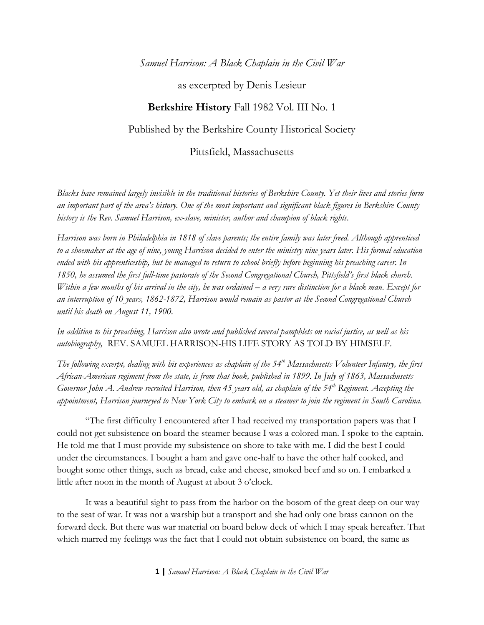### *Samuel Harrison: A Black Chaplain in the Civil War*

### as excerpted by Denis Lesieur

# **Berkshire History** Fall 1982 Vol. III No. 1

## Published by the Berkshire County Historical Society

### Pittsfield, Massachusetts

*Blacks have remained largely invisible in the traditional histories of Berkshire County. Yet their lives and stories form an important part of the area's history. One of the most important and significant black figures in Berkshire County history is the Rev. Samuel Harrison, ex-slave, minister, author and champion of black rights.*

*Harrison was born in Philadelphia in 1818 of slave parents; the entire family was later freed. Although apprenticed to a shoemaker at the age of nine, young Harrison decided to enter the ministry nine years later. His formal education ended with his apprenticeship, but he managed to return to school briefly before beginning his preaching career. In*  1850, he assumed the first full-time pastorate of the Second Congregational Church, Pittsfield's first black church. *Within a few months of his arrival in the city, he was ordained – a very rare distinction for a black man. Except for an interruption of 10 years, 1862-1872, Harrison would remain as pastor at the Second Congregational Church until his death on August 11, 1900.* 

*In addition to his preaching, Harrison also wrote and published several pamphlets on racial justice, as well as his autobiography,* REV. SAMUEL HARRISON-HIS LIFE STORY AS TOLD BY HIMSELF.

*The following excerpt, dealing with his experiences as chaplain of the 54th Massachusetts Volunteer Infantry, the first African-American regiment from the state, is from that book, published in 1899. In July of 1863, Massachusetts Governor John A. Andrew recruited Harrison, then 45 years old, as chaplain of the 54th Regiment. Accepting the appointment, Harrison journeyed to New York City to embark on a steamer to join the regiment in South Carolina.* 

"The first difficulty I encountered after I had received my transportation papers was that I could not get subsistence on board the steamer because I was a colored man. I spoke to the captain. He told me that I must provide my subsistence on shore to take with me. I did the best I could under the circumstances. I bought a ham and gave one-half to have the other half cooked, and bought some other things, such as bread, cake and cheese, smoked beef and so on. I embarked a little after noon in the month of August at about 3 o'clock.

It was a beautiful sight to pass from the harbor on the bosom of the great deep on our way to the seat of war. It was not a warship but a transport and she had only one brass cannon on the forward deck. But there was war material on board below deck of which I may speak hereafter. That which marred my feelings was the fact that I could not obtain subsistence on board, the same as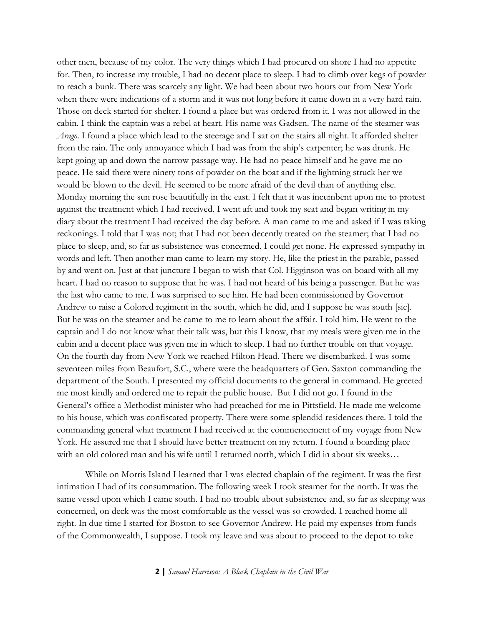other men, because of my color. The very things which I had procured on shore I had no appetite for. Then, to increase my trouble, I had no decent place to sleep. I had to climb over kegs of powder to reach a bunk. There was scarcely any light. We had been about two hours out from New York when there were indications of a storm and it was not long before it came down in a very hard rain. Those on deck started for shelter. I found a place but was ordered from it. I was not allowed in the cabin. I think the captain was a rebel at heart. His name was Gadsen. The name of the steamer was *Arago*. I found a place which lead to the steerage and I sat on the stairs all night. It afforded shelter from the rain. The only annoyance which I had was from the ship's carpenter; he was drunk. He kept going up and down the narrow passage way. He had no peace himself and he gave me no peace. He said there were ninety tons of powder on the boat and if the lightning struck her we would be blown to the devil. He seemed to be more afraid of the devil than of anything else. Monday morning the sun rose beautifully in the east. I felt that it was incumbent upon me to protest against the treatment which I had received. I went aft and took my seat and began writing in my diary about the treatment I had received the day before. A man came to me and asked if I was taking reckonings. I told that I was not; that I had not been decently treated on the steamer; that I had no place to sleep, and, so far as subsistence was concerned, I could get none. He expressed sympathy in words and left. Then another man came to learn my story. He, like the priest in the parable, passed by and went on. Just at that juncture I began to wish that Col. Higginson was on board with all my heart. I had no reason to suppose that he was. I had not heard of his being a passenger. But he was the last who came to me. I was surprised to see him. He had been commissioned by Governor Andrew to raise a Colored regiment in the south, which he did, and I suppose he was south [sic]. But he was on the steamer and he came to me to learn about the affair. I told him. He went to the captain and I do not know what their talk was, but this I know, that my meals were given me in the cabin and a decent place was given me in which to sleep. I had no further trouble on that voyage. On the fourth day from New York we reached Hilton Head. There we disembarked. I was some seventeen miles from Beaufort, S.C., where were the headquarters of Gen. Saxton commanding the department of the South. I presented my official documents to the general in command. He greeted me most kindly and ordered me to repair the public house. But I did not go. I found in the General's office a Methodist minister who had preached for me in Pittsfield. He made me welcome to his house, which was confiscated property. There were some splendid residences there. I told the commanding general what treatment I had received at the commencement of my voyage from New York. He assured me that I should have better treatment on my return. I found a boarding place with an old colored man and his wife until I returned north, which I did in about six weeks…

While on Morris Island I learned that I was elected chaplain of the regiment. It was the first intimation I had of its consummation. The following week I took steamer for the north. It was the same vessel upon which I came south. I had no trouble about subsistence and, so far as sleeping was concerned, on deck was the most comfortable as the vessel was so crowded. I reached home all right. In due time I started for Boston to see Governor Andrew. He paid my expenses from funds of the Commonwealth, I suppose. I took my leave and was about to proceed to the depot to take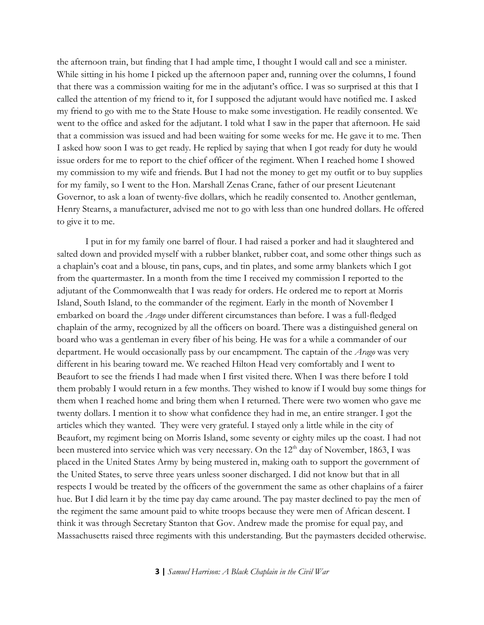the afternoon train, but finding that I had ample time, I thought I would call and see a minister. While sitting in his home I picked up the afternoon paper and, running over the columns, I found that there was a commission waiting for me in the adjutant's office. I was so surprised at this that I called the attention of my friend to it, for I supposed the adjutant would have notified me. I asked my friend to go with me to the State House to make some investigation. He readily consented. We went to the office and asked for the adjutant. I told what I saw in the paper that afternoon. He said that a commission was issued and had been waiting for some weeks for me. He gave it to me. Then I asked how soon I was to get ready. He replied by saying that when I got ready for duty he would issue orders for me to report to the chief officer of the regiment. When I reached home I showed my commission to my wife and friends. But I had not the money to get my outfit or to buy supplies for my family, so I went to the Hon. Marshall Zenas Crane, father of our present Lieutenant Governor, to ask a loan of twenty-five dollars, which he readily consented to. Another gentleman, Henry Stearns, a manufacturer, advised me not to go with less than one hundred dollars. He offered to give it to me.

I put in for my family one barrel of flour. I had raised a porker and had it slaughtered and salted down and provided myself with a rubber blanket, rubber coat, and some other things such as a chaplain's coat and a blouse, tin pans, cups, and tin plates, and some army blankets which I got from the quartermaster. In a month from the time I received my commission I reported to the adjutant of the Commonwealth that I was ready for orders. He ordered me to report at Morris Island, South Island, to the commander of the regiment. Early in the month of November I embarked on board the *Arago* under different circumstances than before. I was a full-fledged chaplain of the army, recognized by all the officers on board. There was a distinguished general on board who was a gentleman in every fiber of his being. He was for a while a commander of our department. He would occasionally pass by our encampment. The captain of the *Arago* was very different in his bearing toward me. We reached Hilton Head very comfortably and I went to Beaufort to see the friends I had made when I first visited there. When I was there before I told them probably I would return in a few months. They wished to know if I would buy some things for them when I reached home and bring them when I returned. There were two women who gave me twenty dollars. I mention it to show what confidence they had in me, an entire stranger. I got the articles which they wanted. They were very grateful. I stayed only a little while in the city of Beaufort, my regiment being on Morris Island, some seventy or eighty miles up the coast. I had not been mustered into service which was very necessary. On the  $12<sup>th</sup>$  day of November, 1863, I was placed in the United States Army by being mustered in, making oath to support the government of the United States, to serve three years unless sooner discharged. I did not know but that in all respects I would be treated by the officers of the government the same as other chaplains of a fairer hue. But I did learn it by the time pay day came around. The pay master declined to pay the men of the regiment the same amount paid to white troops because they were men of African descent. I think it was through Secretary Stanton that Gov. Andrew made the promise for equal pay, and Massachusetts raised three regiments with this understanding. But the paymasters decided otherwise.